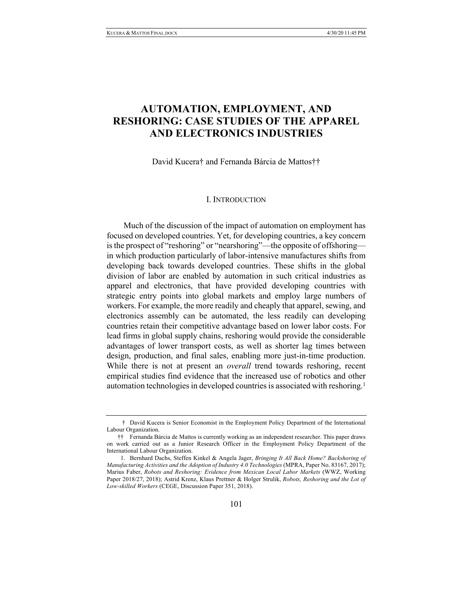# **AUTOMATION, EMPLOYMENT, AND RESHORING: CASE STUDIES OF THE APPAREL AND ELECTRONICS INDUSTRIES**

David Kucera† and Fernanda Bárcia de Mattos††

#### I. INTRODUCTION

Much of the discussion of the impact of automation on employment has focused on developed countries. Yet, for developing countries, a key concern is the prospect of "reshoring" or "nearshoring"—the opposite of offshoring in which production particularly of labor-intensive manufactures shifts from developing back towards developed countries. These shifts in the global division of labor are enabled by automation in such critical industries as apparel and electronics, that have provided developing countries with strategic entry points into global markets and employ large numbers of workers. For example, the more readily and cheaply that apparel, sewing, and electronics assembly can be automated, the less readily can developing countries retain their competitive advantage based on lower labor costs. For lead firms in global supply chains, reshoring would provide the considerable advantages of lower transport costs, as well as shorter lag times between design, production, and final sales, enabling more just-in-time production. While there is not at present an *overall* trend towards reshoring, recent empirical studies find evidence that the increased use of robotics and other automation technologies in developed countries is associated with reshoring.<sup>1</sup>

<sup>†</sup> David Kucera is Senior Economist in the Employment Policy Department of the International Labour Organization.

<sup>††</sup> Fernanda Bárcia de Mattos is currently working as an independent researcher. This paper draws on work carried out as a Junior Research Officer in the Employment Policy Department of the International Labour Organization.

<sup>1.</sup> Bernhard Dachs, Steffen Kinkel & Angela Jager, *Bringing It All Back Home? Backshoring of Manufacturing Activities and the Adoption of Industry 4.0 Technologies* (MPRA, Paper No. 83167, 2017); Marius Faber, *Robots and Reshoring: Evidence from Mexican Local Labor Markets* (WWZ, Working Paper 2018/27, 2018); Astrid Krenz, Klaus Prettner & Holger Strulik, *Robots, Reshoring and the Lot of Low-skilled Workers* (CEGE, Discussion Paper 351, 2018).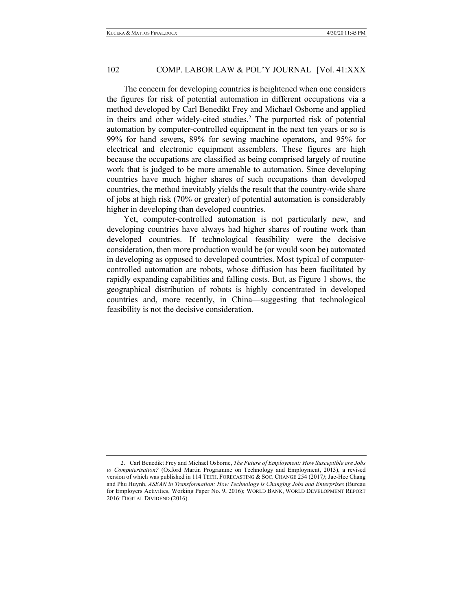The concern for developing countries is heightened when one considers the figures for risk of potential automation in different occupations via a method developed by Carl Benedikt Frey and Michael Osborne and applied in theirs and other widely-cited studies.2 The purported risk of potential automation by computer-controlled equipment in the next ten years or so is 99% for hand sewers, 89% for sewing machine operators, and 95% for electrical and electronic equipment assemblers. These figures are high because the occupations are classified as being comprised largely of routine work that is judged to be more amenable to automation. Since developing countries have much higher shares of such occupations than developed countries, the method inevitably yields the result that the country-wide share of jobs at high risk (70% or greater) of potential automation is considerably higher in developing than developed countries.

Yet, computer-controlled automation is not particularly new, and developing countries have always had higher shares of routine work than developed countries. If technological feasibility were the decisive consideration, then more production would be (or would soon be) automated in developing as opposed to developed countries. Most typical of computercontrolled automation are robots, whose diffusion has been facilitated by rapidly expanding capabilities and falling costs. But, as Figure 1 shows, the geographical distribution of robots is highly concentrated in developed countries and, more recently, in China—suggesting that technological feasibility is not the decisive consideration.

<sup>2.</sup> Carl Benedikt Frey and Michael Osborne, *The Future of Employment: How Susceptible are Jobs to Computerisation?* (Oxford Martin Programme on Technology and Employment, 2013), a revised version of which was published in 114 TECH. FORECASTING & SOC. CHANGE 254 (2017*)*; Jae-Hee Chang and Phu Huynh, *ASEAN in Transformation: How Technology is Changing Jobs and Enterprises* (Bureau for Employers Activities, Working Paper No. 9, 2016); WORLD BANK, WORLD DEVELOPMENT REPORT 2016: DIGITAL DIVIDEND (2016).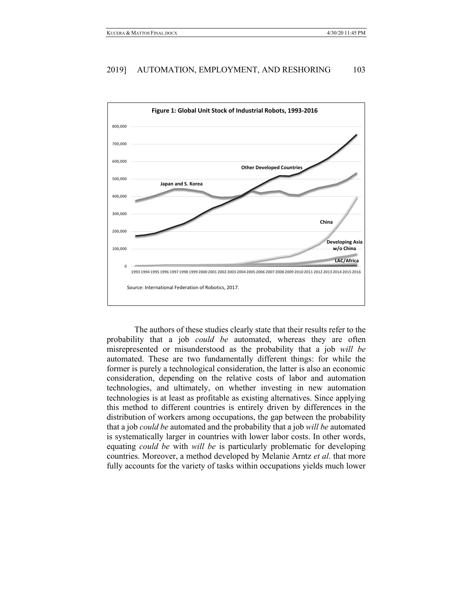

The authors of these studies clearly state that their results refer to the probability that a job *could be* automated, whereas they are often misrepresented or misunderstood as the probability that a job *will be* automated. These are two fundamentally different things: for while the former is purely a technological consideration, the latter is also an economic consideration, depending on the relative costs of labor and automation technologies, and ultimately, on whether investing in new automation technologies is at least as profitable as existing alternatives. Since applying this method to different countries is entirely driven by differences in the distribution of workers among occupations, the gap between the probability that a job *could be* automated and the probability that a job *will be* automated is systematically larger in countries with lower labor costs. In other words, equating *could be* with *will be* is particularly problematic for developing countries. Moreover, a method developed by Melanie Arntz *et al*. that more fully accounts for the variety of tasks within occupations yields much lower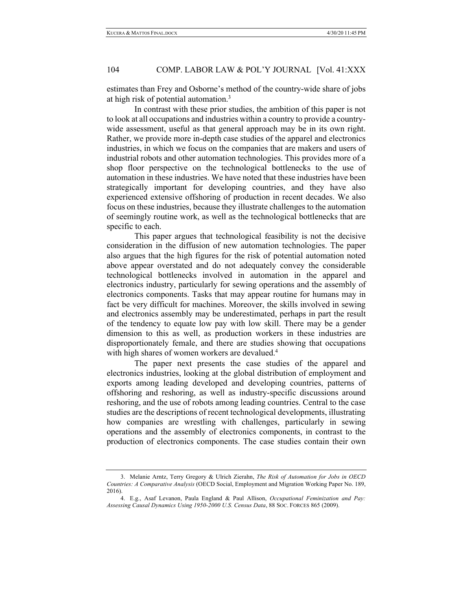estimates than Frey and Osborne's method of the country-wide share of jobs at high risk of potential automation.<sup>3</sup>

In contrast with these prior studies, the ambition of this paper is not to look at all occupations and industries within a country to provide a countrywide assessment, useful as that general approach may be in its own right. Rather, we provide more in-depth case studies of the apparel and electronics industries, in which we focus on the companies that are makers and users of industrial robots and other automation technologies. This provides more of a shop floor perspective on the technological bottlenecks to the use of automation in these industries. We have noted that these industries have been strategically important for developing countries, and they have also experienced extensive offshoring of production in recent decades. We also focus on these industries, because they illustrate challenges to the automation of seemingly routine work, as well as the technological bottlenecks that are specific to each.

This paper argues that technological feasibility is not the decisive consideration in the diffusion of new automation technologies. The paper also argues that the high figures for the risk of potential automation noted above appear overstated and do not adequately convey the considerable technological bottlenecks involved in automation in the apparel and electronics industry, particularly for sewing operations and the assembly of electronics components. Tasks that may appear routine for humans may in fact be very difficult for machines. Moreover, the skills involved in sewing and electronics assembly may be underestimated, perhaps in part the result of the tendency to equate low pay with low skill. There may be a gender dimension to this as well, as production workers in these industries are disproportionately female, and there are studies showing that occupations with high shares of women workers are devalued.<sup>4</sup>

The paper next presents the case studies of the apparel and electronics industries, looking at the global distribution of employment and exports among leading developed and developing countries, patterns of offshoring and reshoring, as well as industry-specific discussions around reshoring, and the use of robots among leading countries. Central to the case studies are the descriptions of recent technological developments, illustrating how companies are wrestling with challenges, particularly in sewing operations and the assembly of electronics components, in contrast to the production of electronics components. The case studies contain their own

<sup>3.</sup> Melanie Arntz, Terry Gregory & Ulrich Zierahn, *The Risk of Automation for Jobs in OECD Countries: A Comparative Analysis* (OECD Social, Employment and Migration Working Paper No. 189, 2016).

<sup>4.</sup> E.g., Asaf Levanon, Paula England & Paul Allison, *Occupational Feminization and Pay: Assessing Causal Dynamics Using 1950-2000 U.S. Census Data*, 88 SOC. FORCES 865 (2009).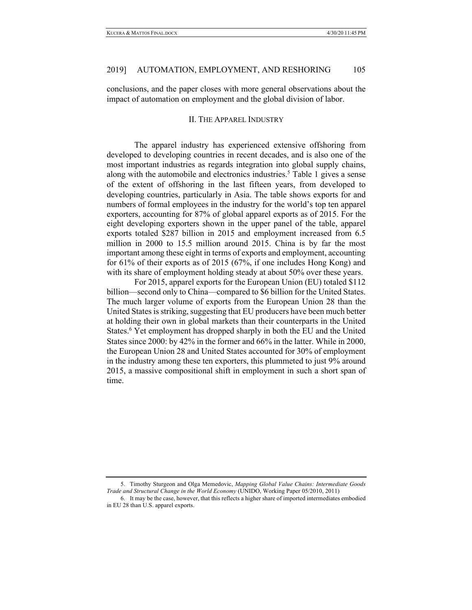conclusions, and the paper closes with more general observations about the impact of automation on employment and the global division of labor.

#### II. THE APPAREL INDUSTRY

The apparel industry has experienced extensive offshoring from developed to developing countries in recent decades, and is also one of the most important industries as regards integration into global supply chains, along with the automobile and electronics industries. <sup>5</sup> Table 1 gives a sense of the extent of offshoring in the last fifteen years, from developed to developing countries, particularly in Asia. The table shows exports for and numbers of formal employees in the industry for the world's top ten apparel exporters, accounting for 87% of global apparel exports as of 2015. For the eight developing exporters shown in the upper panel of the table, apparel exports totaled \$287 billion in 2015 and employment increased from 6.5 million in 2000 to 15.5 million around 2015. China is by far the most important among these eight in terms of exports and employment, accounting for 61% of their exports as of 2015 (67%, if one includes Hong Kong) and with its share of employment holding steady at about 50% over these years.

For 2015, apparel exports for the European Union (EU) totaled \$112 billion—second only to China—compared to \$6 billion for the United States. The much larger volume of exports from the European Union 28 than the United States is striking, suggesting that EU producers have been much better at holding their own in global markets than their counterparts in the United States. <sup>6</sup> Yet employment has dropped sharply in both the EU and the United States since 2000: by 42% in the former and 66% in the latter. While in 2000, the European Union 28 and United States accounted for 30% of employment in the industry among these ten exporters, this plummeted to just 9% around 2015, a massive compositional shift in employment in such a short span of time.

<sup>5.</sup> Timothy Sturgeon and Olga Memedovic, *Mapping Global Value Chains: Intermediate Goods Trade and Structural Change in the World Economy* (UNIDO, Working Paper 05/2010, 2011)

<sup>6.</sup> It may be the case, however, that this reflects a higher share of imported intermediates embodied in EU 28 than U.S. apparel exports.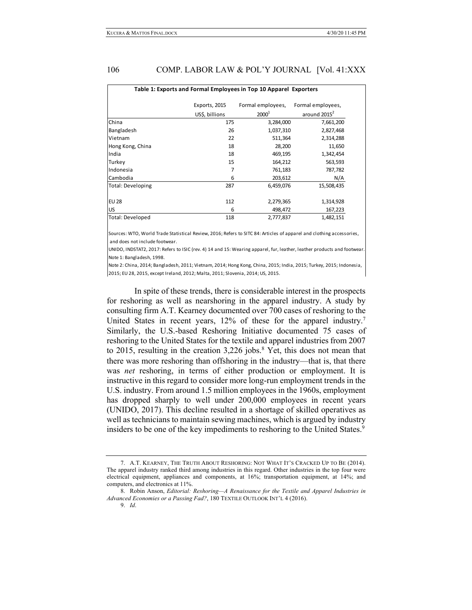| Table 1: Exports and Formal Employees in Top 10 Apparel Exporters |                |                   |                          |  |  |  |  |
|-------------------------------------------------------------------|----------------|-------------------|--------------------------|--|--|--|--|
|                                                                   | Exports, 2015  | Formal employees, | Formal employees,        |  |  |  |  |
|                                                                   | US\$, billions | 2000 <sup>1</sup> | around 2015 <sup>2</sup> |  |  |  |  |
| China                                                             | 175            | 3,284,000         | 7,661,200                |  |  |  |  |
| Bangladesh                                                        | 26             | 1,037,310         | 2,827,468                |  |  |  |  |
| Vietnam                                                           | 22             | 511,364           | 2,314,288                |  |  |  |  |
| Hong Kong, China                                                  | 18             | 28,200            | 11,650                   |  |  |  |  |
| India                                                             | 18             | 469,195           | 1,342,454                |  |  |  |  |
| Turkey                                                            | 15             | 164,212           | 563,593                  |  |  |  |  |
| Indonesia                                                         | 7              | 761,183           | 787,782                  |  |  |  |  |
| Cambodia                                                          | 6              | 203,612           | N/A                      |  |  |  |  |
| <b>Total: Developing</b>                                          | 287            | 6,459,076         | 15,508,435               |  |  |  |  |
| <b>EU 28</b>                                                      | 112            | 2,279,365         | 1,314,928                |  |  |  |  |
| <b>US</b>                                                         | 6              | 498,472           | 167,223                  |  |  |  |  |
| Total: Developed                                                  | 118            | 2,777,837         | 1,482,151                |  |  |  |  |

Sources: WTO, World Trade Statistical Review, 2016; Refers to SITC 84: Articles of apparel and clothing accessories, and does not include footwear.

UNIDO, INDSTAT2, 2017: Refers to ISIC (rev. 4) 14 and 15: Wearing apparel, fur, leather, leather products and footwear. Note 1: Bangladesh, 1998.

Note 2: China, 2014; Bangladesh, 2011; Vietnam, 2014; Hong Kong, China, 2015; India, 2015; Turkey, 2015; Indonesia, 2015; EU 28, 2015, except Ireland, 2012; Malta, 2011; Slovenia, 2014; US, 2015.

In spite of these trends, there is considerable interest in the prospects for reshoring as well as nearshoring in the apparel industry. A study by consulting firm A.T. Kearney documented over 700 cases of reshoring to the United States in recent years, 12% of these for the apparel industry.<sup>7</sup> Similarly, the U.S.-based Reshoring Initiative documented 75 cases of reshoring to the United States for the textile and apparel industries from 2007 to 2015, resulting in the creation 3,226 jobs.<sup>8</sup> Yet, this does not mean that there was more reshoring than offshoring in the industry—that is, that there was *net* reshoring, in terms of either production or employment. It is instructive in this regard to consider more long-run employment trends in the U.S. industry. From around 1.5 million employees in the 1960s, employment has dropped sharply to well under 200,000 employees in recent years (UNIDO, 2017). This decline resulted in a shortage of skilled operatives as well as technicians to maintain sewing machines, which is argued by industry insiders to be one of the key impediments to reshoring to the United States. 9

<sup>7.</sup> A.T. KEARNEY, THE TRUTH ABOUT RESHORING: NOT WHAT IT'S CRACKED UP TO BE (2014). The apparel industry ranked third among industries in this regard. Other industries in the top four were electrical equipment, appliances and components, at 16%; transportation equipment, at 14%; and computers, and electronics at 11%.

<sup>8.</sup> Robin Anson, *Editorial: Reshoring—A Renaissance for the Textile and Apparel Industries in Advanced Economies or a Passing Fad?*, 180 TEXTILE OUTLOOK INT'L 4 (2016).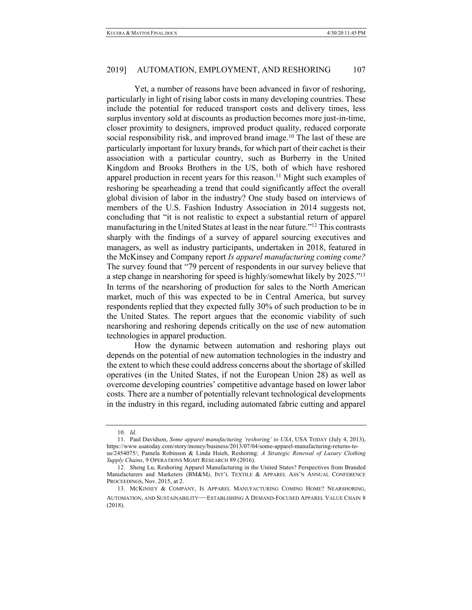Yet, a number of reasons have been advanced in favor of reshoring, particularly in light of rising labor costs in many developing countries. These include the potential for reduced transport costs and delivery times, less surplus inventory sold at discounts as production becomes more just-in-time, closer proximity to designers, improved product quality, reduced corporate social responsibility risk, and improved brand image.<sup>10</sup> The last of these are particularly important for luxury brands, for which part of their cachet is their association with a particular country, such as Burberry in the United Kingdom and Brooks Brothers in the US, both of which have reshored apparel production in recent years for this reason.<sup>11</sup> Might such examples of reshoring be spearheading a trend that could significantly affect the overall global division of labor in the industry? One study based on interviews of members of the U.S. Fashion Industry Association in 2014 suggests not, concluding that "it is not realistic to expect a substantial return of apparel manufacturing in the United States at least in the near future."12 This contrasts sharply with the findings of a survey of apparel sourcing executives and managers, as well as industry participants, undertaken in 2018, featured in the McKinsey and Company report *Is apparel manufacturing coming come?*  The survey found that "79 percent of respondents in our survey believe that a step change in nearshoring for speed is highly/somewhat likely by 2025."<sup>13</sup> In terms of the nearshoring of production for sales to the North American market, much of this was expected to be in Central America, but survey respondents replied that they expected fully 30% of such production to be in the United States. The report argues that the economic viability of such nearshoring and reshoring depends critically on the use of new automation technologies in apparel production.

How the dynamic between automation and reshoring plays out depends on the potential of new automation technologies in the industry and the extent to which these could address concerns about the shortage of skilled operatives (in the United States, if not the European Union 28) as well as overcome developing countries' competitive advantage based on lower labor costs. There are a number of potentially relevant technological developments in the industry in this regard, including automated fabric cutting and apparel

<sup>10.</sup> *Id*.

<sup>11.</sup> Paul Davidson, *Some apparel manufacturing 'reshoring' to USA*, USA TODAY (July 4, 2013), https://www.usatoday.com/story/money/business/2013/07/04/some-apparel-manufacturing-returns-tous/2454075/; Pamela Robinson & Linda Hsieh, Reshoring: *A Strategic Renewal of Luxury Clothing Supply Chains*, 9 OPERATIONS MGMT RESEARCH 89 (2016).

<sup>12.</sup> Sheng Lu, Reshoring Apparel Manufacturing in the United States? Perspectives from Branded Manufacturers and Marketers (BM&M*)*, INT'L TEXTILE & APPAREL ASS'N ANNUAL CONFERENCE PROCEEDINGS, Nov. 2015, at 2.

<sup>13.</sup> MCKINSEY & COMPANY, IS APPAREL MANUFACTURING COMING HOME? NEARSHORING, AUTOMATION, AND SUSTAINABILITY—ESTABLISHING A DEMAND-FOCUSED APPAREL VALUE CHAIN 8 (2018).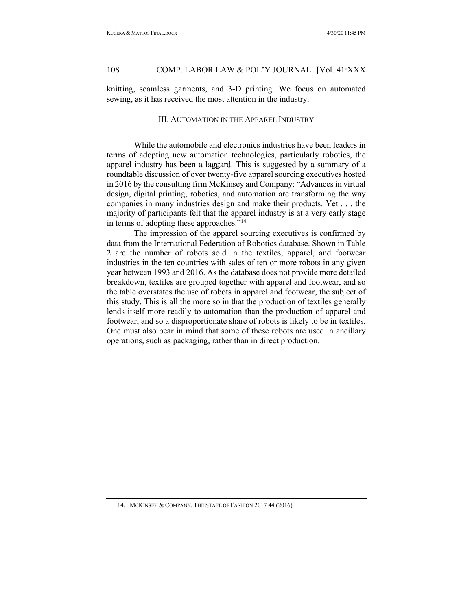knitting, seamless garments, and 3-D printing. We focus on automated sewing, as it has received the most attention in the industry.

#### III. AUTOMATION IN THE APPAREL INDUSTRY

While the automobile and electronics industries have been leaders in terms of adopting new automation technologies, particularly robotics, the apparel industry has been a laggard. This is suggested by a summary of a roundtable discussion of over twenty-five apparel sourcing executives hosted in 2016 by the consulting firm McKinsey and Company: "Advances in virtual design, digital printing, robotics, and automation are transforming the way companies in many industries design and make their products. Yet . . . the majority of participants felt that the apparel industry is at a very early stage in terms of adopting these approaches."14

The impression of the apparel sourcing executives is confirmed by data from the International Federation of Robotics database. Shown in Table 2 are the number of robots sold in the textiles, apparel, and footwear industries in the ten countries with sales of ten or more robots in any given year between 1993 and 2016. As the database does not provide more detailed breakdown, textiles are grouped together with apparel and footwear, and so the table overstates the use of robots in apparel and footwear, the subject of this study. This is all the more so in that the production of textiles generally lends itself more readily to automation than the production of apparel and footwear, and so a disproportionate share of robots is likely to be in textiles. One must also bear in mind that some of these robots are used in ancillary operations, such as packaging, rather than in direct production.

<sup>14.</sup> MCKINSEY & COMPANY, THE STATE OF FASHION 2017 44 (2016).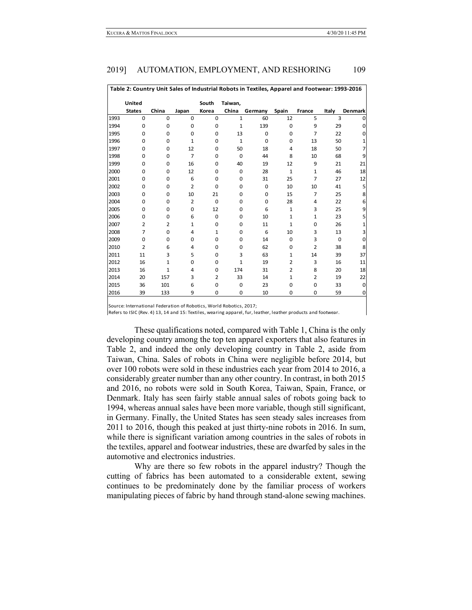| Table 2: Country Unit Sales of Industrial Robots in Textiles, Apparel and Footwear: 1993-2016 |                |                |                |                |              |             |                |                |          |                |
|-----------------------------------------------------------------------------------------------|----------------|----------------|----------------|----------------|--------------|-------------|----------------|----------------|----------|----------------|
|                                                                                               | United         |                |                | South          | Taiwan,      |             |                |                |          |                |
|                                                                                               | <b>States</b>  | China          | Japan          | Korea          | China        | Germany     | Spain          | France         | Italy    | <b>Denmark</b> |
| 1993                                                                                          | $\mathbf 0$    | $\mathbf 0$    | 0              | $\mathbf 0$    | $\mathbf{1}$ | 60          | 12             | 5              | 3        | 0              |
| 1994                                                                                          | 0              | $\mathbf 0$    | 0              | 0              | $\mathbf{1}$ | 139         | $\mathbf 0$    | 9              | 29       | 0              |
| 1995                                                                                          | 0              | $\mathbf 0$    | 0              | 0              | 13           | $\mathbf 0$ | 0              | $\overline{7}$ | 22       | 0              |
| 1996                                                                                          | $\Omega$       | $\Omega$       | $\mathbf{1}$   | 0              | $\mathbf{1}$ | $\Omega$    | $\Omega$       | 13             | 50       |                |
| 1997                                                                                          | 0              | $\mathbf 0$    | 12             | 0              | 50           | 18          | 4              | 18             | 50       | 7              |
| 1998                                                                                          | $\Omega$       | $\mathbf 0$    | $\overline{7}$ | 0              | $\mathbf 0$  | 44          | 8              | 10             | 68       | 9              |
| 1999                                                                                          | $\Omega$       | $\mathbf 0$    | 16             | 0              | 40           | 19          | 12             | 9              | 21       | 21             |
| 2000                                                                                          | 0              | $\mathbf 0$    | 12             | 0              | 0            | 28          | $\mathbf 1$    | $\mathbf 1$    | 46       | 18             |
| 2001                                                                                          | 0              | $\mathbf 0$    | 6              | 0              | $\mathbf 0$  | 31          | 25             | $\overline{7}$ | 27       | 12             |
| 2002                                                                                          | 0              | $\mathbf 0$    | $\overline{2}$ | 0              | $\mathbf 0$  | 0           | 10             | 10             | 41       | 5              |
| 2003                                                                                          | 0              | $\mathbf 0$    | 10             | 21             | 0            | 0           | 15             | $\overline{7}$ | 25       | 8              |
| 2004                                                                                          | 0              | $\mathbf 0$    | $\overline{2}$ | $\mathbf 0$    | $\mathbf 0$  | $\mathbf 0$ | 28             | 4              | 22       | 6              |
| 2005                                                                                          | 0              | $\mathbf 0$    | 0              | 12             | 0            | 6           | $\mathbf{1}$   | 3              | 25       | 9              |
| 2006                                                                                          | 0              | $\mathbf 0$    | 6              | $\mathbf 0$    | $\mathbf 0$  | 10          | $\mathbf 1$    | $\mathbf 1$    | 23       | 5              |
| 2007                                                                                          | $\overline{2}$ | $\overline{2}$ | $\mathbf{1}$   | 0              | $\mathbf 0$  | 11          | $\mathbf{1}$   | 0              | 26       | 1              |
| 2008                                                                                          | $\overline{7}$ | $\mathbf 0$    | 4              | $\mathbf{1}$   | 0            | 6           | 10             | 3              | 13       | 3              |
| 2009                                                                                          | 0              | $\mathbf 0$    | 0              | 0              | 0            | 14          | 0              | 3              | $\Omega$ | $\mathbf 0$    |
| 2010                                                                                          | $\overline{2}$ | 6              | 4              | 0              | $\mathbf 0$  | 62          | 0              | $\overline{2}$ | 38       | 8              |
| 2011                                                                                          | 11             | 3              | 5              | 0              | 3            | 63          | 1              | 14             | 39       | 37             |
| 2012                                                                                          | 16             | $\mathbf{1}$   | 0              | 0              | $\mathbf{1}$ | 19          | $\overline{2}$ | 3              | 16       | 11             |
| 2013                                                                                          | 16             | $\mathbf{1}$   | 4              | 0              | 174          | 31          | $\overline{2}$ | 8              | 20       | 18             |
| 2014                                                                                          | 20             | 157            | 3              | $\overline{2}$ | 33           | 14          | $\mathbf{1}$   | 2              | 19       | 22             |
| 2015                                                                                          | 36             | 101            | 6              | 0              | $\mathbf 0$  | 23          | 0              | 0              | 33       | $\mathbf 0$    |
| 2016                                                                                          | 39             | 133            | 9              | 0              | $\mathbf 0$  | 10          | 0              | 0              | 59       | 0              |

Source: International Federation of Robotics, World Robotics, 2017;

Refers to ISIC (Rev. 4) 13, 14 and 15: Textiles, wearing apparel, fur, leather, leather products and footwear

These qualifications noted, compared with Table 1, China is the only developing country among the top ten apparel exporters that also features in Table 2, and indeed the only developing country in Table 2, aside from Taiwan, China. Sales of robots in China were negligible before 2014, but over 100 robots were sold in these industries each year from 2014 to 2016, a considerably greater number than any other country. In contrast, in both 2015 and 2016, no robots were sold in South Korea, Taiwan, Spain, France, or Denmark. Italy has seen fairly stable annual sales of robots going back to 1994, whereas annual sales have been more variable, though still significant, in Germany. Finally, the United States has seen steady sales increases from 2011 to 2016, though this peaked at just thirty-nine robots in 2016. In sum, while there is significant variation among countries in the sales of robots in the textiles, apparel and footwear industries, these are dwarfed by sales in the automotive and electronics industries.

Why are there so few robots in the apparel industry? Though the cutting of fabrics has been automated to a considerable extent, sewing continues to be predominately done by the familiar process of workers manipulating pieces of fabric by hand through stand-alone sewing machines.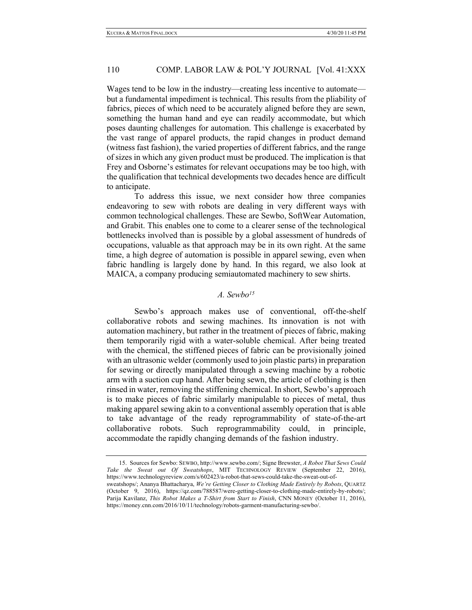Wages tend to be low in the industry—creating less incentive to automate but a fundamental impediment is technical. This results from the pliability of fabrics, pieces of which need to be accurately aligned before they are sewn, something the human hand and eye can readily accommodate, but which poses daunting challenges for automation. This challenge is exacerbated by the vast range of apparel products, the rapid changes in product demand (witness fast fashion), the varied properties of different fabrics, and the range of sizes in which any given product must be produced. The implication is that Frey and Osborne's estimates for relevant occupations may be too high, with the qualification that technical developments two decades hence are difficult to anticipate.

To address this issue, we next consider how three companies endeavoring to sew with robots are dealing in very different ways with common technological challenges. These are Sewbo, SoftWear Automation, and Grabit. This enables one to come to a clearer sense of the technological bottlenecks involved than is possible by a global assessment of hundreds of occupations, valuable as that approach may be in its own right. At the same time, a high degree of automation is possible in apparel sewing, even when fabric handling is largely done by hand. In this regard, we also look at MAICA, a company producing semiautomated machinery to sew shirts.

# *A. Sewbo15*

Sewbo's approach makes use of conventional, off-the-shelf collaborative robots and sewing machines. Its innovation is not with automation machinery, but rather in the treatment of pieces of fabric, making them temporarily rigid with a water-soluble chemical. After being treated with the chemical, the stiffened pieces of fabric can be provisionally joined with an ultrasonic welder (commonly used to join plastic parts) in preparation for sewing or directly manipulated through a sewing machine by a robotic arm with a suction cup hand. After being sewn, the article of clothing is then rinsed in water, removing the stiffening chemical. In short, Sewbo's approach is to make pieces of fabric similarly manipulable to pieces of metal, thus making apparel sewing akin to a conventional assembly operation that is able to take advantage of the ready reprogrammability of state-of-the-art collaborative robots. Such reprogrammability could, in principle, accommodate the rapidly changing demands of the fashion industry.

<sup>15.</sup> Sources for Sewbo: SEWBO, http://www.sewbo.com/; Signe Brewster, *A Robot That Sews Could Take the Sweat out Of Sweatshops*, MIT TECHNOLOGY REVIEW (September 22, 2016), https://www.technologyreview.com/s/602423/a-robot-that-sews-could-take-the-sweat-out-ofsweatshops/; Ananya Bhattacharya, *We're Getting Closer to Clothing Made Entirely by Robots*, QUARTZ (October 9, 2016), https://qz.com/788587/were-getting-closer-to-clothing-made-entirely-by-robots/; Parija Kavilanz, *This Robot Makes a T-Shirt from Start to Finish*, CNN MONEY (October 11, 2016), https://money.cnn.com/2016/10/11/technology/robots-garment-manufacturing-sewbo/.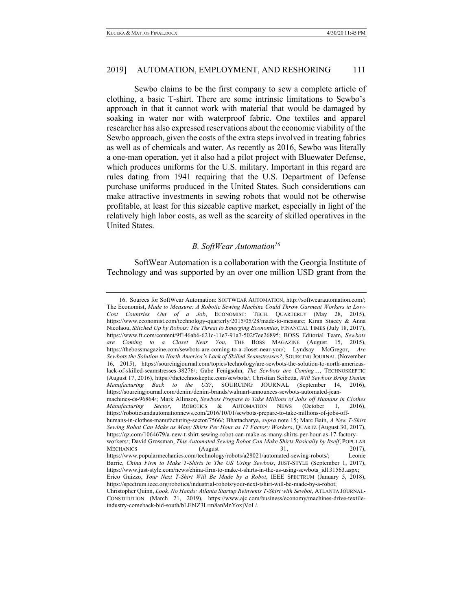Sewbo claims to be the first company to sew a complete article of clothing, a basic T-shirt. There are some intrinsic limitations to Sewbo's approach in that it cannot work with material that would be damaged by soaking in water nor with waterproof fabric. One textiles and apparel researcher has also expressed reservations about the economic viability of the Sewbo approach, given the costs of the extra steps involved in treating fabrics as well as of chemicals and water. As recently as 2016, Sewbo was literally a one-man operation, yet it also had a pilot project with Bluewater Defense, which produces uniforms for the U.S. military. Important in this regard are rules dating from 1941 requiring that the U.S. Department of Defense purchase uniforms produced in the United States. Such considerations can make attractive investments in sewing robots that would not be otherwise profitable, at least for this sizeable captive market, especially in light of the relatively high labor costs, as well as the scarcity of skilled operatives in the United States.

# *B. SoftWear Automation16*

SoftWear Automation is a collaboration with the Georgia Institute of Technology and was supported by an over one million USD grant from the

<sup>16.</sup> Sources for SoftWear Automation: SOFTWEAR AUTOMATION, http://softwearautomation.com/; The Economist, *Made to Measure: A Robotic Sewing Machine Could Throw Garment Workers in Low-Cost Countries Out of a Job*, ECONOMIST: TECH. QUARTERLY (May 28, 2015), https://www.economist.com/technology-quarterly/2015/05/28/made-to-measure; Kiran Stacey & Anna Nicolaou, *Stitched Up by Robots: The Threat to Emerging Economies*, FINANCIAL TIMES (July 18, 2017), https://www.ft.com/content/9f146ab6-621c-11e7-91a7-502f7ee26895; BOSS Editorial Team, *Sewbots are Coming to a Closet Near You*, THE BOSS MAGAZINE (August 15, 2015), https://thebossmagazine.com/sewbots-are-coming-to-a-closet-near-you/; Lyndsay McGregor, *Are Sewbots the Solution to North America's Lack of Skilled Seamstresses?*, SOURCING JOURNAL (November 16, 2015), https://sourcingjournal.com/topics/technology/are-sewbots-the-solution-to-north-americaslack-of-skilled-seamstresses-38276/; Gabe Fenigsohn, *The Sewbots are Coming…*, TECHNOSKEPTIC (August 17, 2016), https://thetechnoskeptic.com/sewbots/; Christian Scibetta, *Will Sewbots Bring Denim Manufacturing Back to the US?*, SOURCING JOURNAL (September 14, 2016), https://sourcingjournal.com/denim/denim-brands/walmart-announces-sewbots-automated-jeanmachines-cs-96864/; Mark Allinson, *Sewbots Prepare to Take Millions of Jobs off Humans in Clothes Manufacturing Sector*, ROBOTICS & AUTOMATION NEWS (October 1, 2016), https://roboticsandautomationnews.com/2016/10/01/sewbots-prepare-to-take-millions-of-jobs-offhumans-in-clothes-manufacturing-sector/7566/; Bhattacharya, *supra* note 15; Marc Bain, *A New T-Shirt Sewing Robot Can Make as Many Shirts Per Hour as 17 Factory Workers*, QUARTZ (August 30, 2017), https://qz.com/1064679/a-new-t-shirt-sewing-robot-can-make-as-many-shirts-per-hour-as-17-factoryworkers/; David Grossman, *This Automated Sewing Robot Can Make Shirts Basically by Itself*, POPULAR MECHANICS (August 31, 2017), https://www.popularmechanics.com/technology/robots/a28021/automated-sewing-robots/; Leonie Barrie, *China Firm to Make T-Shirts in The US Using Sewbots*, JUST-STYLE (September 1, 2017), https://www.just-style.com/news/china-firm-to-make-t-shirts-in-the-us-using-sewbots\_id131563.aspx; Erico Guizzo, *Your Next T-Shirt Will Be Made by a Robot*, IEEE SPECTRUM (January 5, 2018), https://spectrum.ieee.org/robotics/industrial-robots/your-next-tshirt-will-be-made-by-a-robot; Christopher Quinn, *Look, No Hands: Atlanta Startup Reinvents T-Shirt with Sewbot*, ATLANTA JOURNAL-CONSTITUTION (March 21, 2019), https://www.ajc.com/business/economy/machines-drive-textileindustry-comeback-bid-south/bLEbIZ3Lrm8anMnYoxjVoL/.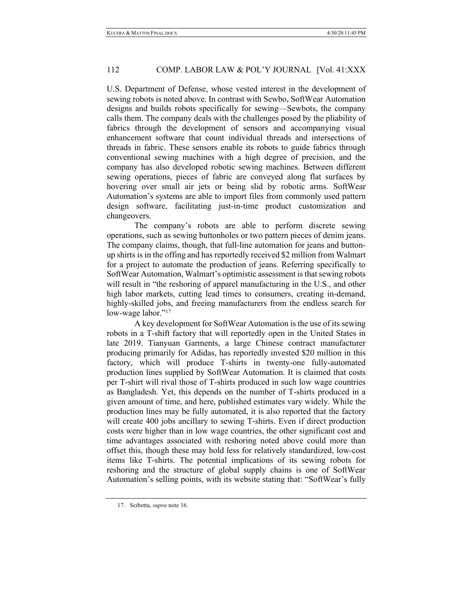U.S. Department of Defense, whose vested interest in the development of sewing robots is noted above. In contrast with Sewbo, SoftWear Automation designs and builds robots specifically for sewing—Sewbots, the company calls them. The company deals with the challenges posed by the pliability of fabrics through the development of sensors and accompanying visual enhancement software that count individual threads and intersections of threads in fabric. These sensors enable its robots to guide fabrics through conventional sewing machines with a high degree of precision, and the company has also developed robotic sewing machines. Between different sewing operations, pieces of fabric are conveyed along flat surfaces by hovering over small air jets or being slid by robotic arms. SoftWear Automation's systems are able to import files from commonly used pattern design software, facilitating just-in-time product customization and changeovers.

The company's robots are able to perform discrete sewing operations, such as sewing buttonholes or two pattern pieces of denim jeans. The company claims, though, that full-line automation for jeans and buttonup shirts is in the offing and has reportedly received \$2 million from Walmart for a project to automate the production of jeans. Referring specifically to SoftWear Automation, Walmart's optimistic assessment is that sewing robots will result in "the reshoring of apparel manufacturing in the U.S., and other high labor markets, cutting lead times to consumers, creating in-demand, highly-skilled jobs, and freeing manufacturers from the endless search for low-wage labor."<sup>17</sup>

A key development for SoftWear Automation is the use of its sewing robots in a T-shift factory that will reportedly open in the United States in late 2019. Tianyuan Garments, a large Chinese contract manufacturer producing primarily for Adidas, has reportedly invested \$20 million in this factory, which will produce T-shirts in twenty-one fully-automated production lines supplied by SoftWear Automation. It is claimed that costs per T-shirt will rival those of T-shirts produced in such low wage countries as Bangladesh. Yet, this depends on the number of T-shirts produced in a given amount of time, and here, published estimates vary widely. While the production lines may be fully automated, it is also reported that the factory will create 400 jobs ancillary to sewing T-shirts. Even if direct production costs were higher than in low wage countries, the other significant cost and time advantages associated with reshoring noted above could more than offset this, though these may hold less for relatively standardized, low-cost items like T-shirts. The potential implications of its sewing robots for reshoring and the structure of global supply chains is one of SoftWear Automation's selling points, with its website stating that: "SoftWear's fully

<sup>17.</sup> Scibetta, *supra* note 16.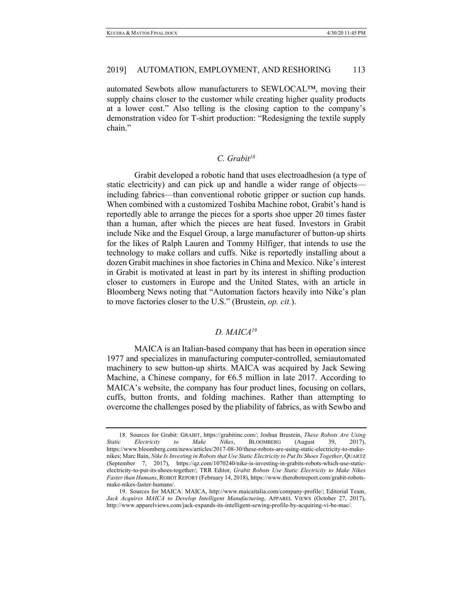automated Sewbots allow manufacturers to SEWLOCAL™, moving their supply chains closer to the customer while creating higher quality products at a lower cost." Also telling is the closing caption to the company's demonstration video for T-shirt production: "Redesigning the textile supply chain."

# *C. Grabit18*

Grabit developed a robotic hand that uses electroadhesion (a type of static electricity) and can pick up and handle a wider range of objects including fabrics—than conventional robotic gripper or suction cup hands. When combined with a customized Toshiba Machine robot, Grabit's hand is reportedly able to arrange the pieces for a sports shoe upper 20 times faster than a human, after which the pieces are heat fused. Investors in Grabit include Nike and the Esquel Group, a large manufacturer of button-up shirts for the likes of Ralph Lauren and Tommy Hilfiger, that intends to use the technology to make collars and cuffs. Nike is reportedly installing about a dozen Grabit machines in shoe factories in China and Mexico. Nike's interest in Grabit is motivated at least in part by its interest in shifting production closer to customers in Europe and the United States, with an article in Bloomberg News noting that "Automation factors heavily into Nike's plan to move factories closer to the U.S." (Brustein, *op. cit.*).

# *D. MAICA19*

MAICA is an Italian-based company that has been in operation since 1977 and specializes in manufacturing computer-controlled, semiautomated machinery to sew button-up shirts. MAICA was acquired by Jack Sewing Machine, a Chinese company, for  $6.5$  million in late 2017. According to MAICA's website, the company has four product lines, focusing on collars, cuffs, button fronts, and folding machines. Rather than attempting to overcome the challenges posed by the pliability of fabrics, as with Sewbo and

<sup>18.</sup> Sources for Grabit: GRABIT, https://grabitinc.com/; Joshua Brustein, *These Robots Are Using Static Electricity to Make Nikes*, BLOOMBERG (August 39, 2017), https://www.bloomberg.com/news/articles/2017-08-30/these-robots-are-using-static-electricity-to-makenikes; Marc Bain, *Nike Is Investing in Robots that Use Static Electricity to Put Its Shoes Together*, QUARTZ (September 7, 2017), https://qz.com/1070240/nike-is-investing-in-grabits-robots-which-use-staticelectricity-to-put-its-shoes-together/; TRR Editor, *Grabit Robots Use Static Electricity to Make Nikes Faster than Humans*, ROBOT REPORT (February 14, 2018), https://www.therobotreport.com/grabit-robotsmake-nikes-faster-humans/.

<sup>19.</sup> Sources for MAICA: MAICA, http://www.maicaitalia.com/company-profile/; Editorial Team, *Jack Acquires MAICA to Develop Intelligent Manufacturing*, APPAREL VIEWS (October 27, 2017), http://www.apparelviews.com/jack-expands-its-intelligent-sewing-profile-by-acquiring-vi-be-mac/.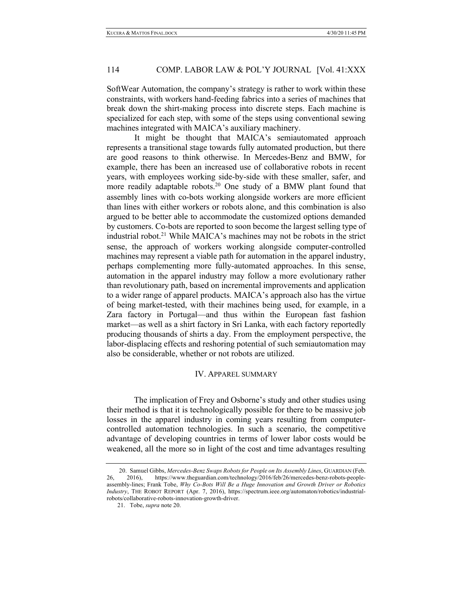SoftWear Automation, the company's strategy is rather to work within these constraints, with workers hand-feeding fabrics into a series of machines that break down the shirt-making process into discrete steps. Each machine is specialized for each step, with some of the steps using conventional sewing machines integrated with MAICA's auxiliary machinery.

It might be thought that MAICA's semiautomated approach represents a transitional stage towards fully automated production, but there are good reasons to think otherwise. In Mercedes-Benz and BMW, for example, there has been an increased use of collaborative robots in recent years, with employees working side-by-side with these smaller, safer, and more readily adaptable robots.20 One study of a BMW plant found that assembly lines with co-bots working alongside workers are more efficient than lines with either workers or robots alone, and this combination is also argued to be better able to accommodate the customized options demanded by customers. Co-bots are reported to soon become the largest selling type of industrial robot.21 While MAICA's machines may not be robots in the strict sense, the approach of workers working alongside computer-controlled machines may represent a viable path for automation in the apparel industry, perhaps complementing more fully-automated approaches. In this sense, automation in the apparel industry may follow a more evolutionary rather than revolutionary path, based on incremental improvements and application to a wider range of apparel products. MAICA's approach also has the virtue of being market-tested, with their machines being used, for example, in a Zara factory in Portugal—and thus within the European fast fashion market—as well as a shirt factory in Sri Lanka, with each factory reportedly producing thousands of shirts a day. From the employment perspective, the labor-displacing effects and reshoring potential of such semiautomation may also be considerable, whether or not robots are utilized.

#### IV. APPAREL SUMMARY

The implication of Frey and Osborne's study and other studies using their method is that it is technologically possible for there to be massive job losses in the apparel industry in coming years resulting from computercontrolled automation technologies. In such a scenario, the competitive advantage of developing countries in terms of lower labor costs would be weakened, all the more so in light of the cost and time advantages resulting

<sup>20.</sup> Samuel Gibbs, *Mercedes-Benz Swaps Robots for People on Its Assembly Lines*, GUARDIAN (Feb. 2016), https://www.theguardian.com/technology/2016/feb/26/mercedes-benz-robots-people-26, 2016), https://www.theguardian.com/technology/2016/feb/26/mercedes-benz-robots-peopleassembly-lines; Frank Tobe, *Why Co-Bots Will Be a Huge Innovation and Growth Driver or Robotics Industry*, THE ROBOT REPORT (Apr. 7, 2016), https://spectrum.ieee.org/automaton/robotics/industrialrobots/collaborative-robots-innovation-growth-driver.

<sup>21.</sup> Tobe, *supra* note 20.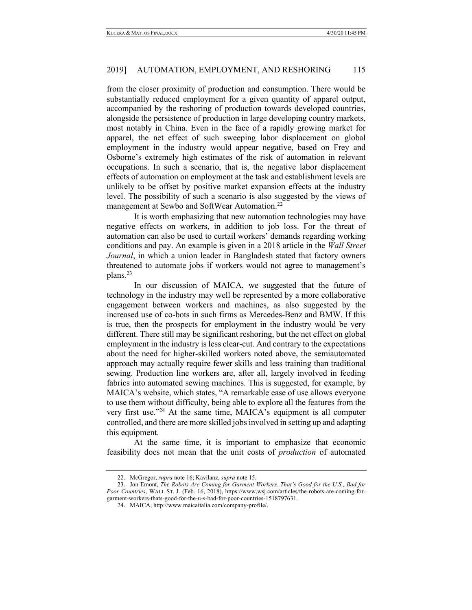from the closer proximity of production and consumption. There would be substantially reduced employment for a given quantity of apparel output, accompanied by the reshoring of production towards developed countries, alongside the persistence of production in large developing country markets, most notably in China. Even in the face of a rapidly growing market for apparel, the net effect of such sweeping labor displacement on global employment in the industry would appear negative, based on Frey and Osborne's extremely high estimates of the risk of automation in relevant occupations. In such a scenario, that is, the negative labor displacement effects of automation on employment at the task and establishment levels are unlikely to be offset by positive market expansion effects at the industry level. The possibility of such a scenario is also suggested by the views of management at Sewbo and SoftWear Automation.<sup>22</sup>

It is worth emphasizing that new automation technologies may have negative effects on workers, in addition to job loss. For the threat of automation can also be used to curtail workers' demands regarding working conditions and pay. An example is given in a 2018 article in the *Wall Street Journal*, in which a union leader in Bangladesh stated that factory owners threatened to automate jobs if workers would not agree to management's plans.23

In our discussion of MAICA, we suggested that the future of technology in the industry may well be represented by a more collaborative engagement between workers and machines, as also suggested by the increased use of co-bots in such firms as Mercedes-Benz and BMW. If this is true, then the prospects for employment in the industry would be very different. There still may be significant reshoring, but the net effect on global employment in the industry is less clear-cut. And contrary to the expectations about the need for higher-skilled workers noted above, the semiautomated approach may actually require fewer skills and less training than traditional sewing. Production line workers are, after all, largely involved in feeding fabrics into automated sewing machines. This is suggested, for example, by MAICA's website, which states, "A remarkable ease of use allows everyone to use them without difficulty, being able to explore all the features from the very first use."24 At the same time, MAICA's equipment is all computer controlled, and there are more skilled jobs involved in setting up and adapting this equipment.

At the same time, it is important to emphasize that economic feasibility does not mean that the unit costs of *production* of automated

<sup>22.</sup> McGregor, *supra* note 16; Kavilanz, *supra* note 15.

<sup>23.</sup> Jon Emont, *The Robots Are Coming for Garment Workers. That's Good for the U.S., Bad for Poor Countries*, WALL ST. J. (Feb. 16, 2018), https://www.wsj.com/articles/the-robots-are-coming-forgarment-workers-thats-good-for-the-u-s-bad-for-poor-countries-1518797631.

<sup>24.</sup> MAICA, http://www.maicaitalia.com/company-profile/.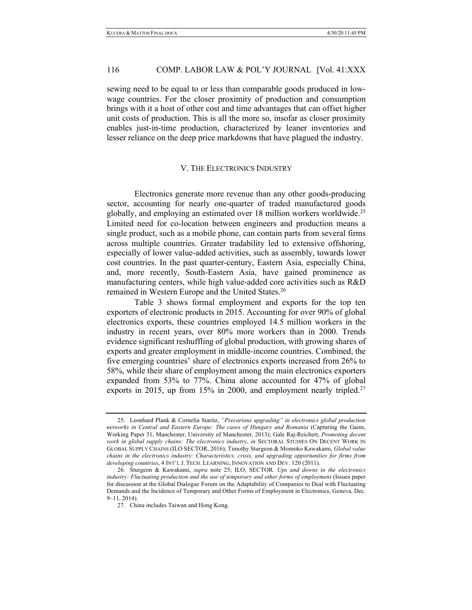sewing need to be equal to or less than comparable goods produced in lowwage countries. For the closer proximity of production and consumption brings with it a host of other cost and time advantages that can offset higher unit costs of production. This is all the more so, insofar as closer proximity enables just-in-time production, characterized by leaner inventories and lesser reliance on the deep price markdowns that have plagued the industry.

#### V. THE ELECTRONICS INDUSTRY

Electronics generate more revenue than any other goods-producing sector, accounting for nearly one-quarter of traded manufactured goods globally, and employing an estimated over 18 million workers worldwide.25 Limited need for co-location between engineers and production means a single product, such as a mobile phone, can contain parts from several firms across multiple countries. Greater tradability led to extensive offshoring, especially of lower value-added activities, such as assembly, towards lower cost countries. In the past quarter-century, Eastern Asia, especially China, and, more recently, South-Eastern Asia, have gained prominence as manufacturing centers, while high value-added core activities such as R&D remained in Western Europe and the United States. 26

Table 3 shows formal employment and exports for the top ten exporters of electronic products in 2015. Accounting for over 90% of global electronics exports, these countries employed 14.5 million workers in the industry in recent years, over 80% more workers than in 2000. Trends evidence significant reshuffling of global production, with growing shares of exports and greater employment in middle-income countries. Combined, the five emerging countries' share of electronics exports increased from 26% to 58%, while their share of employment among the main electronics exporters expanded from 53% to 77%. China alone accounted for 47% of global exports in 2015, up from 15% in 2000, and employment nearly tripled.<sup>27</sup>

<sup>25.</sup> Leonhard Plank & Cornelia Staritz, *"Precarious upgrading" in electronics global production networks in Central and Eastern Europe: The cases of Hungary and Romania* (Capturing the Gains, Working Paper 31, Manchester, University of Manchester, 2013); Gale Raj-Reichert, *Promoting decent work in global supply chains: The electronics industry*, *in* SECTORAL STUDIES ON DECENT WORK IN GLOBAL SUPPLY CHAINS (ILO SECTOR, 2016); Timothy Sturgeon & Momoko Kawakami, *Global value chains in the electronics industry: Characteristics, crisis, and upgrading opportunities for firms from developing countries*, 4 INT'L J. TECH. LEARNING, INNOVATION AND DEV. 120 (2011).

<sup>26.</sup> Sturgeon & Kawakami, *supra* note 25; ILO, SECTOR. *Ups and downs in the electronics industry: Fluctuating production and the use of temporary and other forms of employment* (Issues paper for discussion at the Global Dialogue Forum on the Adaptability of Companies to Deal with Fluctuating Demands and the Incidence of Temporary and Other Forms of Employment in Electronics, Geneva, Dec. 9–11, 2014).

<sup>27.</sup> China includes Taiwan and Hong Kong.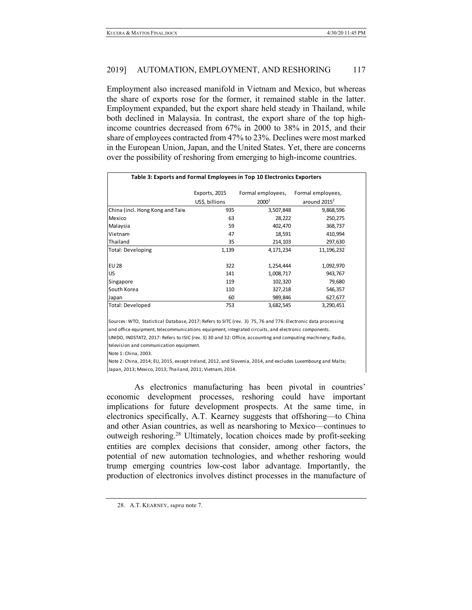Employment also increased manifold in Vietnam and Mexico, but whereas the share of exports rose for the former, it remained stable in the latter. Employment expanded, but the export share held steady in Thailand, while both declined in Malaysia. In contrast, the export share of the top highincome countries decreased from 67% in 2000 to 38% in 2015, and their share of employees contracted from 47% to 23%. Declines were most marked in the European Union, Japan, and the United States. Yet, there are concerns over the possibility of reshoring from emerging to high-income countries.

| Table 3: Exports and Formal Employees in Top 10 Electronics Exporters |                |                   |                   |  |  |  |  |
|-----------------------------------------------------------------------|----------------|-------------------|-------------------|--|--|--|--|
|                                                                       | Exports, 2015  | Formal employees, | Formal employees, |  |  |  |  |
|                                                                       | US\$, billions | $2000^1$          | around $2015^2$   |  |  |  |  |
| China (incl. Hong Kong and Taiw                                       | 935            | 3,507,848         | 9,868,596         |  |  |  |  |
| Mexico                                                                | 63             | 28,222            | 250,275           |  |  |  |  |
| Malaysia                                                              | 59             | 402,470           | 368,737           |  |  |  |  |
| Vietnam                                                               | 47             | 18,591            | 410,994           |  |  |  |  |
| Thailand                                                              | 35             | 214,103           | 297,630           |  |  |  |  |
| Total: Developing                                                     | 1,139          | 4,171,234         | 11,196,232        |  |  |  |  |
| <b>EU 28</b>                                                          | 322            | 1,254,444         | 1,092,970         |  |  |  |  |
| US                                                                    | 141            | 1,008,717         | 943,767           |  |  |  |  |
| Singapore                                                             | 119            | 102,320           | 79,680            |  |  |  |  |
| South Korea                                                           | 110            | 327,218           | 546,357           |  |  |  |  |
| Japan                                                                 | 60             | 989,846           | 627,677           |  |  |  |  |
| Total: Developed                                                      | 753            | 3,682,545         | 3,290,451         |  |  |  |  |

Sources: WTO, Statistical Database, 2017; Refers to SITC (rev. 3) 75, 76 and 776: Electronic data processing and office equipment, telecommunications equipment, integrated circuits, and electronic components. UNIDO, INDSTAT2, 2017: Refers to ISIC (rev. 3) 30 and 32: Office, accounting and computing machinery; Radio,

television and communication equipment.

Note 1: China, 2003.

Note 2: China, 2014; EU, 2015, except Ireland, 2012, and Slovenia, 2014, and excludes Luxembourg and Malta; Japan, 2013; Mexico, 2013; Thailand, 2011; Vietnam, 2014.

As electronics manufacturing has been pivotal in countries' economic development processes, reshoring could have important implications for future development prospects. At the same time, in electronics specifically, A.T. Kearney suggests that offshoring—to China and other Asian countries, as well as nearshoring to Mexico—continues to outweigh reshoring.28 Ultimately, location choices made by profit-seeking entities are complex decisions that consider, among other factors, the potential of new automation technologies, and whether reshoring would trump emerging countries low-cost labor advantage. Importantly, the production of electronics involves distinct processes in the manufacture of

<sup>28.</sup> A.T. KEARNEY, *supra* note 7.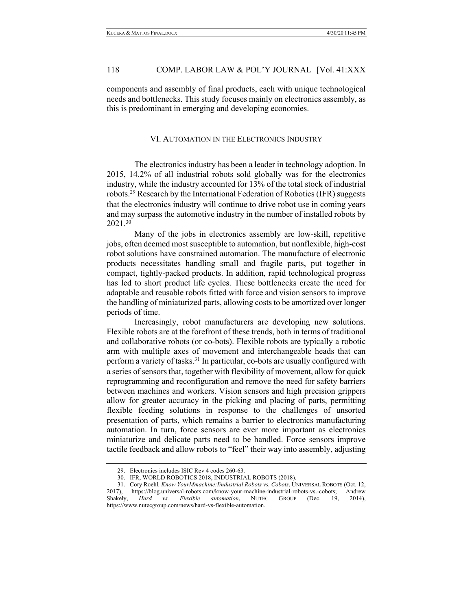components and assembly of final products, each with unique technological needs and bottlenecks. This study focuses mainly on electronics assembly, as this is predominant in emerging and developing economies.

# VI. AUTOMATION IN THE ELECTRONICS INDUSTRY

The electronics industry has been a leader in technology adoption. In 2015, 14.2% of all industrial robots sold globally was for the electronics industry, while the industry accounted for 13% of the total stock of industrial robots.29 Research by the International Federation of Robotics (IFR) suggests that the electronics industry will continue to drive robot use in coming years and may surpass the automotive industry in the number of installed robots by 2021.30

Many of the jobs in electronics assembly are low-skill, repetitive jobs, often deemed most susceptible to automation, but nonflexible, high-cost robot solutions have constrained automation. The manufacture of electronic products necessitates handling small and fragile parts, put together in compact, tightly-packed products. In addition, rapid technological progress has led to short product life cycles. These bottlenecks create the need for adaptable and reusable robots fitted with force and vision sensors to improve the handling of miniaturized parts, allowing costs to be amortized over longer periods of time.

Increasingly, robot manufacturers are developing new solutions. Flexible robots are at the forefront of these trends, both in terms of traditional and collaborative robots (or co-bots). Flexible robots are typically a robotic arm with multiple axes of movement and interchangeable heads that can perform a variety of tasks.31 In particular, co-bots are usually configured with a series of sensors that, together with flexibility of movement, allow for quick reprogramming and reconfiguration and remove the need for safety barriers between machines and workers. Vision sensors and high precision grippers allow for greater accuracy in the picking and placing of parts, permitting flexible feeding solutions in response to the challenges of unsorted presentation of parts, which remains a barrier to electronics manufacturing automation. In turn, force sensors are ever more important as electronics miniaturize and delicate parts need to be handled. Force sensors improve tactile feedback and allow robots to "feel" their way into assembly, adjusting

<sup>29.</sup> Electronics includes ISIC Rev 4 codes 260-63.

<sup>30.</sup> IFR, WORLD ROBOTICS 2018, INDUSTRIAL ROBOTS (2018).

<sup>31.</sup> Cory Roehl*, Know YourMmachine:Iindustrial Robots vs. Cobots*, UNIVERSAL ROBOTS (Oct. 12, 2017), https://blog.universal-robots.com/know-your-machine-industrial-robots-vs.-cobots; Andrew Shakely, *Hard vs. Flexible automation*, NUTEC GROUP (Dec. 19, 2014), https://www.nutecgroup.com/news/hard-vs-flexible-automation.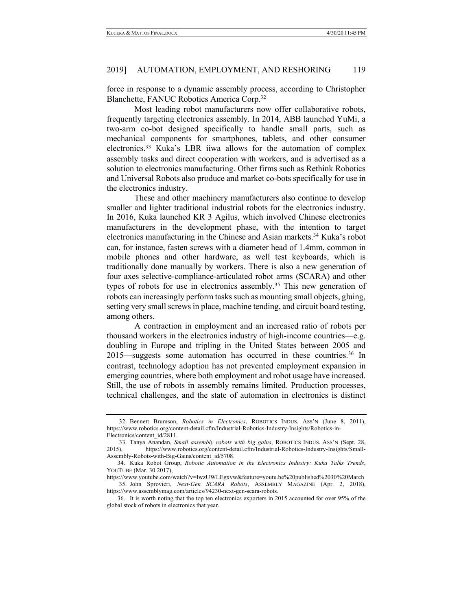force in response to a dynamic assembly process, according to Christopher Blanchette, FANUC Robotics America Corp.32

Most leading robot manufacturers now offer collaborative robots, frequently targeting electronics assembly. In 2014, ABB launched YuMi, a two-arm co-bot designed specifically to handle small parts, such as mechanical components for smartphones, tablets, and other consumer electronics.33 Kuka's LBR iiwa allows for the automation of complex assembly tasks and direct cooperation with workers, and is advertised as a solution to electronics manufacturing. Other firms such as Rethink Robotics and Universal Robots also produce and market co-bots specifically for use in the electronics industry.

These and other machinery manufacturers also continue to develop smaller and lighter traditional industrial robots for the electronics industry. In 2016, Kuka launched KR 3 Agilus, which involved Chinese electronics manufacturers in the development phase, with the intention to target electronics manufacturing in the Chinese and Asian markets.<sup>34</sup> Kuka's robot can, for instance, fasten screws with a diameter head of 1.4mm, common in mobile phones and other hardware, as well test keyboards, which is traditionally done manually by workers. There is also a new generation of four axes selective-compliance-articulated robot arms (SCARA) and other types of robots for use in electronics assembly.<sup>35</sup> This new generation of robots can increasingly perform tasks such as mounting small objects, gluing, setting very small screws in place, machine tending, and circuit board testing, among others.

A contraction in employment and an increased ratio of robots per thousand workers in the electronics industry of high-income countries—e.g. doubling in Europe and tripling in the United States between 2005 and 2015—suggests some automation has occurred in these countries.<sup>36</sup> In contrast, technology adoption has not prevented employment expansion in emerging countries, where both employment and robot usage have increased. Still, the use of robots in assembly remains limited. Production processes, technical challenges, and the state of automation in electronics is distinct

<sup>32.</sup> Bennett Brumson, *Robotics in Electronics*, ROBOTICS INDUS. ASS'N (June 8, 2011), https://www.robotics.org/content-detail.cfm/Industrial-Robotics-Industry-Insights/Robotics-in-Electronics/content\_id/2811.

<sup>33.</sup> Tanya Anandan, *Small assembly robots with big gains*, ROBOTICS INDUS. ASS'N (Sept. 28, 2015), https://www.robotics.org/content-detail.cfm/Industrial-Robotics-Industry-Insights/Small-Assembly-Robots-with-Big-Gains/content\_id/5708.

<sup>34.</sup> Kuka Robot Group, *Robotic Automation in the Electronics Industry: Kuka Talks Trends*, YOUTUBE (Mar. 30 2017),

https://www.youtube.com/watch?v=IwzUWLEgxvw&feature=youtu.be%20published%2030%20March 35. John Sprovieri, *Next-Gen SCARA Robots*, ASSEMBLY MAGAZINE (Apr. 2, 2018), https://www.assemblymag.com/articles/94230-next-gen-scara-robots.

<sup>36.</sup> It is worth noting that the top ten electronics exporters in 2015 accounted for over 95% of the global stock of robots in electronics that year.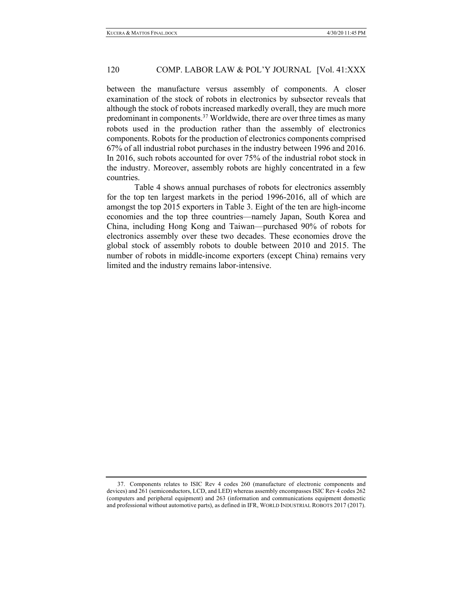between the manufacture versus assembly of components. A closer examination of the stock of robots in electronics by subsector reveals that although the stock of robots increased markedly overall, they are much more predominant in components.<sup>37</sup> Worldwide, there are over three times as many robots used in the production rather than the assembly of electronics components. Robots for the production of electronics components comprised 67% of all industrial robot purchases in the industry between 1996 and 2016. In 2016, such robots accounted for over 75% of the industrial robot stock in the industry. Moreover, assembly robots are highly concentrated in a few countries.

Table 4 shows annual purchases of robots for electronics assembly for the top ten largest markets in the period 1996-2016, all of which are amongst the top 2015 exporters in Table 3. Eight of the ten are high-income economies and the top three countries—namely Japan, South Korea and China, including Hong Kong and Taiwan—purchased 90% of robots for electronics assembly over these two decades. These economies drove the global stock of assembly robots to double between 2010 and 2015. The number of robots in middle-income exporters (except China) remains very limited and the industry remains labor-intensive.

<sup>37.</sup> Components relates to ISIC Rev 4 codes 260 (manufacture of electronic components and devices) and 261 (semiconductors, LCD, and LED) whereas assembly encompasses ISIC Rev 4 codes 262 (computers and peripheral equipment) and 263 (information and communications equipment domestic and professional without automotive parts), as defined in IFR, WORLD INDUSTRIAL ROBOTS 2017 (2017).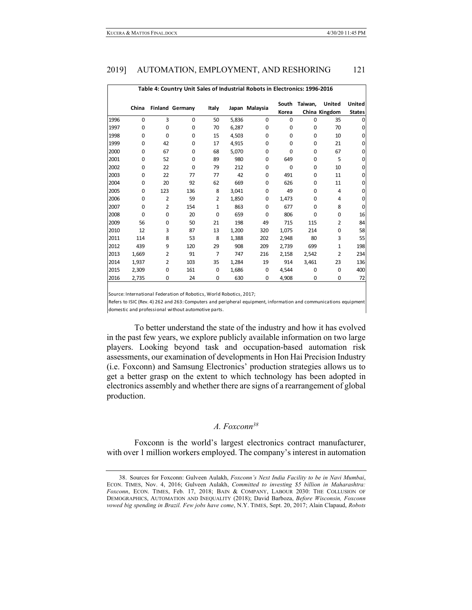| Table 4: Country Unit Sales of Industrial Robots in Electronics: 1996-2016 |             |                |                        |                |       |                |                |         |                                |                                |
|----------------------------------------------------------------------------|-------------|----------------|------------------------|----------------|-------|----------------|----------------|---------|--------------------------------|--------------------------------|
|                                                                            | China       |                | <b>Finland Germany</b> | Italy          |       | Japan Malaysia | South<br>Korea | Taiwan, | <b>United</b><br>China Kingdom | <b>United</b><br><b>States</b> |
| 1996                                                                       | $\Omega$    | 3              | $\Omega$               | 50             | 5,836 | 0              | 0              | 0       | 35                             | $\Omega$                       |
| 1997                                                                       | 0           | $\Omega$       | $\Omega$               | 70             | 6,287 | 0              | 0              | 0       | 70                             | 0                              |
| 1998                                                                       | 0           | $\Omega$       | $\Omega$               | 15             | 4,503 | 0              | 0              | 0       | 10                             | 0                              |
| 1999                                                                       | 0           | 42             | $\Omega$               | 17             | 4,915 | 0              | 0              | 0       | 21                             | 0                              |
| 2000                                                                       | 0           | 67             | $\Omega$               | 68             | 5,070 | 0              | 0              | 0       | 67                             | 0                              |
| 2001                                                                       | 0           | 52             | $\Omega$               | 89             | 980   | 0              | 649            | 0       | 5                              | 0                              |
| 2002                                                                       | 0           | 22             | $\Omega$               | 79             | 212   | 0              | 0              | 0       | 10                             | 0                              |
| 2003                                                                       | 0           | 22             | 77                     | 77             | 42    | 0              | 491            | 0       | 11                             | 0                              |
| 2004                                                                       | 0           | 20             | 92                     | 62             | 669   | 0              | 626            | 0       | 11                             | 0                              |
| 2005                                                                       | 0           | 123            | 136                    | 8              | 3,041 | 0              | 49             | 0       | 4                              | 0                              |
| 2006                                                                       | $\Omega$    | $\overline{2}$ | 59                     | $\overline{2}$ | 1,850 | 0              | 1,473          | 0       | 4                              | 0                              |
| 2007                                                                       | 0           | $\overline{2}$ | 154                    | $\mathbf{1}$   | 863   | 0              | 677            | 0       | 8                              | $\Omega$                       |
| 2008                                                                       | $\mathbf 0$ | $\Omega$       | 20                     | $\Omega$       | 659   | 0              | 806            | 0       | 0                              | 16                             |
| 2009                                                                       | 56          | $\Omega$       | 50                     | 21             | 198   | 49             | 715            | 115     | 2                              | 84                             |
| 2010                                                                       | 12          | 3              | 87                     | 13             | 1,200 | 320            | 1,075          | 214     | 0                              | 58                             |
| 2011                                                                       | 114         | 8              | 53                     | 8              | 1,388 | 202            | 2,948          | 80      | 3                              | 55                             |
| 2012                                                                       | 439         | 9              | 120                    | 29             | 908   | 209            | 2,739          | 699     | 1                              | 198                            |
| 2013                                                                       | 1,669       | $\overline{2}$ | 91                     | $\overline{7}$ | 747   | 216            | 2,158          | 2,542   | $\overline{2}$                 | 234                            |
| 2014                                                                       | 1,937       | 2              | 103                    | 35             | 1,284 | 19             | 914            | 3,461   | 23                             | 136                            |
| 2015                                                                       | 2,309       | $\Omega$       | 161                    | 0              | 1,686 | 0              | 4,544          | 0       | 0                              | 400                            |
| 2016                                                                       | 2,735       | 0              | 24                     | 0              | 630   | 0              | 4,908          | 0       | 0                              | 72                             |
|                                                                            |             |                |                        |                |       |                |                |         |                                |                                |

Source: International Federation of Robotics, World Robotics, 2017;

Refers to ISIC (Rev. 4) 262 and 263: Computers and peripheral equipment, information and communications equipmen domestic and professional without automotive parts.

To better understand the state of the industry and how it has evolved in the past few years, we explore publicly available information on two large players. Looking beyond task and occupation-based automation risk assessments, our examination of developments in Hon Hai Precision Industry (i.e. Foxconn) and Samsung Electronics' production strategies allows us to get a better grasp on the extent to which technology has been adopted in electronics assembly and whether there are signs of a rearrangement of global production.

# *A. Foxconn38*

Foxconn is the world's largest electronics contract manufacturer, with over 1 million workers employed. The company's interest in automation

<sup>38.</sup> Sources for Foxconn: Gulveen Aulakh, *Foxconn's Next India Facility to be in Navi Mumbai*, ECON. TIMES, Nov. 4, 2016; Gulveen Aulakh, *Committed to investing \$5 billion in Maharashtra: Foxconn*, ECON. TIMES, Feb. 17, 2018; BAIN & COMPANY, LABOUR 2030: THE COLLUSION OF DEMOGRAPHICS, AUTOMATION AND INEQUALITY (2018); David Barboza, *Before Wisconsin, Foxconn vowed big spending in Brazil. Few jobs have come*, N.Y. TIMES, Sept. 20, 2017; Alain Clapaud, *Robots*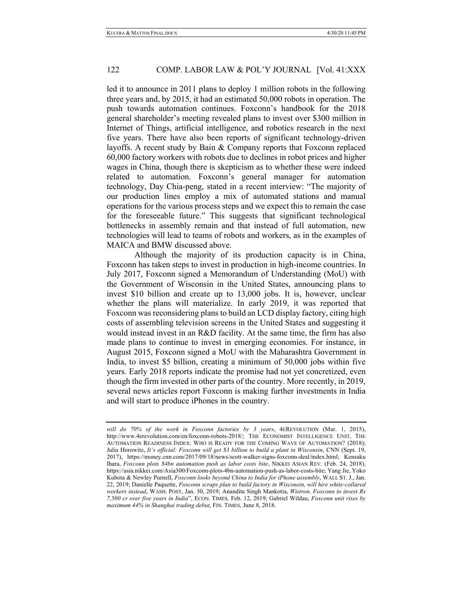led it to announce in 2011 plans to deploy 1 million robots in the following three years and, by 2015, it had an estimated 50,000 robots in operation. The push towards automation continues. Foxconn's handbook for the 2018 general shareholder's meeting revealed plans to invest over \$300 million in Internet of Things, artificial intelligence, and robotics research in the next five years. There have also been reports of significant technology-driven layoffs. A recent study by Bain & Company reports that Foxconn replaced 60,000 factory workers with robots due to declines in robot prices and higher wages in China, though there is skepticism as to whether these were indeed related to automation. Foxconn's general manager for automation technology, Day Chia-peng, stated in a recent interview: "The majority of our production lines employ a mix of automated stations and manual operations for the various process steps and we expect this to remain the case for the foreseeable future." This suggests that significant technological bottlenecks in assembly remain and that instead of full automation, new technologies will lead to teams of robots and workers, as in the examples of MAICA and BMW discussed above.

Although the majority of its production capacity is in China, Foxconn has taken steps to invest in production in high-income countries. In July 2017, Foxconn signed a Memorandum of Understanding (MoU) with the Government of Wisconsin in the United States, announcing plans to invest \$10 billion and create up to 13,000 jobs. It is, however, unclear whether the plans will materialize. In early 2019, it was reported that Foxconn was reconsidering plans to build an LCD display factory, citing high costs of assembling television screens in the United States and suggesting it would instead invest in an R&D facility. At the same time, the firm has also made plans to continue to invest in emerging economies. For instance, in August 2015, Foxconn signed a MoU with the Maharashtra Government in India, to invest \$5 billion, creating a minimum of 50,000 jobs within five years. Early 2018 reports indicate the promise had not yet concretized, even though the firm invested in other parts of the country. More recently, in 2019, several news articles report Foxconn is making further investments in India and will start to produce iPhones in the country.

*will do 70% of the work in Foxconn factories by 3 years*, 4EREVOLUTION (Mar. 1, 2015), http://www.4erevolution.com/en/foxconn-robots-2018/; THE ECONOMIST INTELLIGENCE UNIT, THE AUTOMATION READINESS INDEX: WHO IS READY FOR THE COMING WAVE OF AUTOMATION? (2018); Julia Horowitz, *It's official: Foxconn will get \$3 billion to build a plant in Wisconsin*, CNN (Sept. 19, 2017), https://money.cnn.com/2017/09/18/news/scott-walker-signs-foxconn-deal/index.html; Kensaku Ihara, *Foxconn plots \$4bn automation push as labor costs bite*, NIKKEI ASIAN REV. (Feb. 24, 2018), https://asia.nikkei.com/Asia300/Foxconn-plots-4bn-automation-push-as-labor-costs-bite; Yang Jie, Yoko Kubota & Newley Purnell, *Foxconn looks beyond China to India for iPhone assembly*, WALL ST. J., Jan. 22, 2019; Danielle Paquette, *Foxconn scraps plan to build factory in Wisconsin, will hire white-collared workers instead*, WASH. POST, Jan. 30, 2019; Anandita Singh Mankotia, *Wistron, Foxconn to invest Rs 7,500 cr over five years in India*", ECON. TIMES*,* Feb. 12, 2019; Gabriel Wildau, *Foxconn unit rises by maximum 44% in Shanghai trading debut*, FIN. TIMES, June 8, 2018.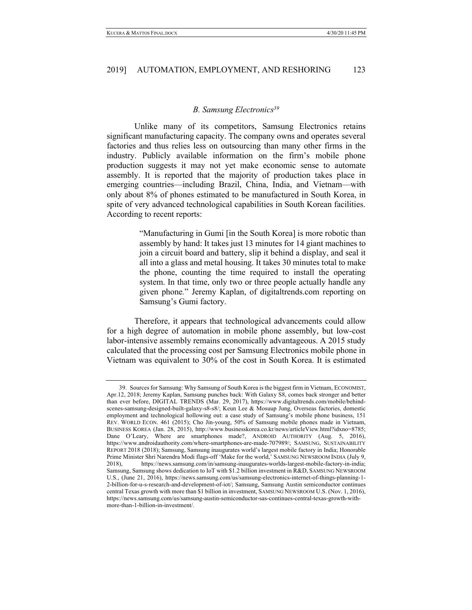# *B. Samsung Electronics39*

Unlike many of its competitors, Samsung Electronics retains significant manufacturing capacity. The company owns and operates several factories and thus relies less on outsourcing than many other firms in the industry. Publicly available information on the firm's mobile phone production suggests it may not yet make economic sense to automate assembly. It is reported that the majority of production takes place in emerging countries—including Brazil, China, India, and Vietnam—with only about 8% of phones estimated to be manufactured in South Korea, in spite of very advanced technological capabilities in South Korean facilities. According to recent reports:

> "Manufacturing in Gumi [in the South Korea] is more robotic than assembly by hand: It takes just 13 minutes for 14 giant machines to join a circuit board and battery, slip it behind a display, and seal it all into a glass and metal housing. It takes 30 minutes total to make the phone, counting the time required to install the operating system. In that time, only two or three people actually handle any given phone*.*" Jeremy Kaplan, of digitaltrends.com reporting on Samsung's Gumi factory.

Therefore, it appears that technological advancements could allow for a high degree of automation in mobile phone assembly, but low-cost labor-intensive assembly remains economically advantageous. A 2015 study calculated that the processing cost per Samsung Electronics mobile phone in Vietnam was equivalent to 30% of the cost in South Korea. It is estimated

<sup>39.</sup> Sources for Samsung: Why Samsung of South Korea is the biggest firm in Vietnam, ECONOMIST, Apr.12, 2018; Jeremy Kaplan, Samsung punches back: With Galaxy S8, comes back stronger and better than ever before, DIGITAL TRENDS (Mar. 29, 2017), https://www.digitaltrends.com/mobile/behindscenes-samsung-designed-built-galaxy-s8-s8/; Keun Lee & Mosuup Jung, Overseas factories, domestic employment and technological hollowing out: a case study of Samsung's mobile phone business, 151 REV. WORLD ECON. 461 (2015); Cho Jin-young, 50% of Samsung mobile phones made in Vietnam, BUSINESS KOREA (Jan. 28, 2015), http://www.businesskorea.co.kr/news/articleView.html?idxno=8785; Dane O'Leary, Where are smartphones made?, ANDROID AUTHORITY (Aug. 5, 2016), https://www.androidauthority.com/where-smartphones-are-made-707989/; SAMSUNG, SUSTAINABILITY REPORT 2018 (2018); Samsung, Samsung inaugurates world's largest mobile factory in India; Honorable Prime Minister Shri Narendra Modi flags-off 'Make for the world,' SAMSUNG NEWSROOM INDIA (July 9, 2018), https://news.samsung.com/in/samsung-inaugurates-worlds-largest-mobile-factory-in-india; Samsung, Samsung shows dedication to IoT with \$1.2 billion investment in R&D, SAMSUNG NEWSROOM U.S., (June 21, 2016), https://news.samsung.com/us/samsung-electronics-internet-of-things-planning-1- 2-billion-for-u-s-research-and-development-of-iot/; Samsung, Samsung Austin semiconductor continues central Texas growth with more than \$1 billion in investment, SAMSUNG NEWSROOM U.S. (Nov. 1, 2016), https://news.samsung.com/us/samsung-austin-semiconductor-sas-continues-central-texas-growth-withmore-than-1-billion-in-investment/.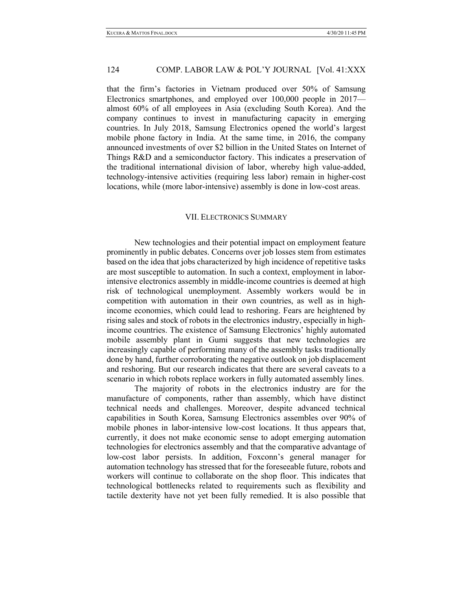that the firm's factories in Vietnam produced over 50% of Samsung Electronics smartphones, and employed over 100,000 people in 2017 almost 60% of all employees in Asia (excluding South Korea). And the company continues to invest in manufacturing capacity in emerging countries. In July 2018, Samsung Electronics opened the world's largest mobile phone factory in India. At the same time, in 2016, the company announced investments of over \$2 billion in the United States on Internet of Things R&D and a semiconductor factory. This indicates a preservation of the traditional international division of labor, whereby high value-added, technology-intensive activities (requiring less labor) remain in higher-cost locations, while (more labor-intensive) assembly is done in low-cost areas.

#### VII. ELECTRONICS SUMMARY

New technologies and their potential impact on employment feature prominently in public debates. Concerns over job losses stem from estimates based on the idea that jobs characterized by high incidence of repetitive tasks are most susceptible to automation. In such a context, employment in laborintensive electronics assembly in middle-income countries is deemed at high risk of technological unemployment. Assembly workers would be in competition with automation in their own countries, as well as in highincome economies, which could lead to reshoring. Fears are heightened by rising sales and stock of robots in the electronics industry, especially in highincome countries. The existence of Samsung Electronics' highly automated mobile assembly plant in Gumi suggests that new technologies are increasingly capable of performing many of the assembly tasks traditionally done by hand, further corroborating the negative outlook on job displacement and reshoring. But our research indicates that there are several caveats to a scenario in which robots replace workers in fully automated assembly lines.

The majority of robots in the electronics industry are for the manufacture of components, rather than assembly, which have distinct technical needs and challenges. Moreover, despite advanced technical capabilities in South Korea, Samsung Electronics assembles over 90% of mobile phones in labor-intensive low-cost locations. It thus appears that, currently, it does not make economic sense to adopt emerging automation technologies for electronics assembly and that the comparative advantage of low-cost labor persists. In addition, Foxconn's general manager for automation technology has stressed that for the foreseeable future, robots and workers will continue to collaborate on the shop floor. This indicates that technological bottlenecks related to requirements such as flexibility and tactile dexterity have not yet been fully remedied. It is also possible that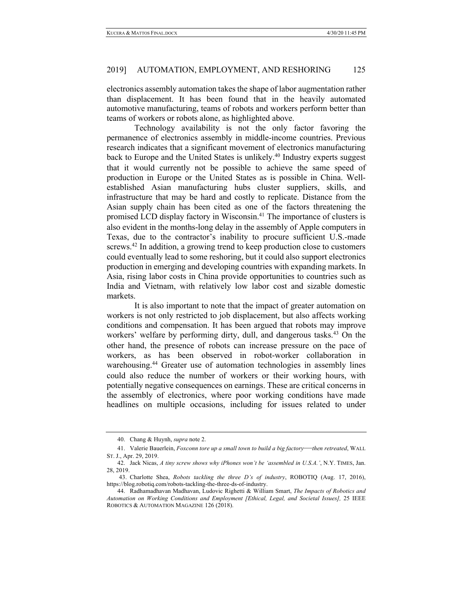electronics assembly automation takes the shape of labor augmentation rather than displacement. It has been found that in the heavily automated automotive manufacturing, teams of robots and workers perform better than teams of workers or robots alone, as highlighted above.

Technology availability is not the only factor favoring the permanence of electronics assembly in middle-income countries. Previous research indicates that a significant movement of electronics manufacturing back to Europe and the United States is unlikely.<sup>40</sup> Industry experts suggest that it would currently not be possible to achieve the same speed of production in Europe or the United States as is possible in China. Wellestablished Asian manufacturing hubs cluster suppliers, skills, and infrastructure that may be hard and costly to replicate. Distance from the Asian supply chain has been cited as one of the factors threatening the promised LCD display factory in Wisconsin.41 The importance of clusters is also evident in the months-long delay in the assembly of Apple computers in Texas, due to the contractor's inability to procure sufficient U.S.-made screws.<sup>42</sup> In addition, a growing trend to keep production close to customers could eventually lead to some reshoring, but it could also support electronics production in emerging and developing countries with expanding markets. In Asia, rising labor costs in China provide opportunities to countries such as India and Vietnam, with relatively low labor cost and sizable domestic markets.

It is also important to note that the impact of greater automation on workers is not only restricted to job displacement, but also affects working conditions and compensation. It has been argued that robots may improve workers' welfare by performing dirty, dull, and dangerous tasks.<sup>43</sup> On the other hand, the presence of robots can increase pressure on the pace of workers, as has been observed in robot-worker collaboration in warehousing.<sup>44</sup> Greater use of automation technologies in assembly lines could also reduce the number of workers or their working hours, with potentially negative consequences on earnings. These are critical concerns in the assembly of electronics, where poor working conditions have made headlines on multiple occasions, including for issues related to under

<sup>40.</sup> Chang & Huynh, *supra* note 2.

<sup>41.</sup> Valerie Bauerlein, *Foxconn tore up a small town to build a big factory*—*then retreated*, WALL ST. J., Apr. 29, 2019.

<sup>42.</sup> Jack Nicas, *A tiny screw shows why iPhones won't be 'assembled in U.S.A.'*, N.Y. TIMES, Jan. 28, 2019.

<sup>43.</sup> Charlotte Shea, *Robots tackling the three D's of industry*, ROBOTIQ (Aug. 17, 2016), https://blog.robotiq.com/robots-tackling-the-three-ds-of-industry.

<sup>44.</sup> Radhamadhavan Madhavan, Ludovic Righetti & William Smart, *The Impacts of Robotics and Automation on Working Conditions and Employment [Ethical, Legal, and Societal Issues],* 25 IEEE ROBOTICS & AUTOMATION MAGAZINE 126 (2018).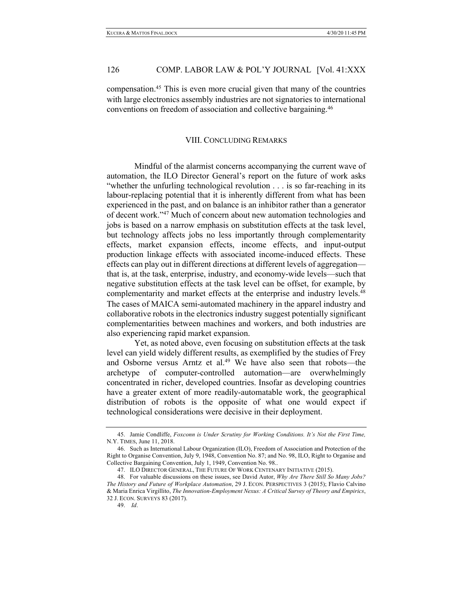compensation.45 This is even more crucial given that many of the countries with large electronics assembly industries are not signatories to international conventions on freedom of association and collective bargaining.46

# VIII. CONCLUDING REMARKS

Mindful of the alarmist concerns accompanying the current wave of automation, the ILO Director General's report on the future of work asks "whether the unfurling technological revolution . . . is so far-reaching in its labour-replacing potential that it is inherently different from what has been experienced in the past, and on balance is an inhibitor rather than a generator of decent work."47 Much of concern about new automation technologies and jobs is based on a narrow emphasis on substitution effects at the task level, but technology affects jobs no less importantly through complementarity effects, market expansion effects, income effects, and input-output production linkage effects with associated income-induced effects. These effects can play out in different directions at different levels of aggregation that is, at the task, enterprise, industry, and economy-wide levels—such that negative substitution effects at the task level can be offset, for example, by complementarity and market effects at the enterprise and industry levels.<sup>48</sup> The cases of MAICA semi-automated machinery in the apparel industry and collaborative robots in the electronics industry suggest potentially significant complementarities between machines and workers, and both industries are also experiencing rapid market expansion.

Yet, as noted above, even focusing on substitution effects at the task level can yield widely different results, as exemplified by the studies of Frey and Osborne versus Arntz et al. <sup>49</sup> We have also seen that robots—the archetype of computer-controlled automation—are overwhelmingly concentrated in richer, developed countries. Insofar as developing countries have a greater extent of more readily-automatable work, the geographical distribution of robots is the opposite of what one would expect if technological considerations were decisive in their deployment.

<sup>45.</sup> Jamie Condliffe, *Foxconn is Under Scrutiny for Working Conditions. It's Not the First Time,* N.Y. TIMES, June 11, 2018.

<sup>46.</sup> Such as International Labour Organization (ILO), Freedom of Association and Protection of the Right to Organise Convention, July 9, 1948, Convention No. 87; and No. 98, ILO, Right to Organise and Collective Bargaining Convention, July 1, 1949, Convention No. 98..

<sup>47.</sup> ILO DIRECTOR GENERAL, THE FUTURE OF WORK CENTENARY INITIATIVE (2015).

<sup>48.</sup> For valuable discussions on these issues, see David Autor, *Why Are There Still So Many Jobs? The History and Future of Workplace Automation*, 29 J. ECON. PERSPECTIVES 3 (2015); Flavio Calvino & Maria Enrica Virgillito, *The Innovation-Employment Nexus: A Critical Survey of Theory and Empirics*, 32 J. ECON. SURVEYS 83 (2017).

<sup>49.</sup> *Id*.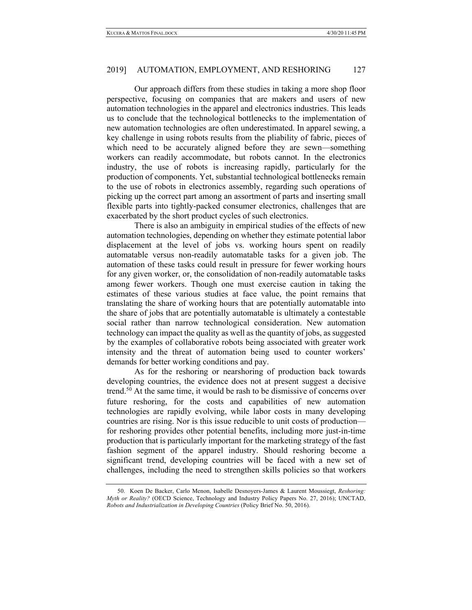Our approach differs from these studies in taking a more shop floor perspective, focusing on companies that are makers and users of new automation technologies in the apparel and electronics industries. This leads us to conclude that the technological bottlenecks to the implementation of new automation technologies are often underestimated. In apparel sewing, a key challenge in using robots results from the pliability of fabric, pieces of which need to be accurately aligned before they are sewn—something workers can readily accommodate, but robots cannot. In the electronics industry, the use of robots is increasing rapidly, particularly for the production of components. Yet, substantial technological bottlenecks remain to the use of robots in electronics assembly, regarding such operations of picking up the correct part among an assortment of parts and inserting small flexible parts into tightly-packed consumer electronics, challenges that are exacerbated by the short product cycles of such electronics.

There is also an ambiguity in empirical studies of the effects of new automation technologies, depending on whether they estimate potential labor displacement at the level of jobs vs. working hours spent on readily automatable versus non-readily automatable tasks for a given job. The automation of these tasks could result in pressure for fewer working hours for any given worker, or, the consolidation of non-readily automatable tasks among fewer workers. Though one must exercise caution in taking the estimates of these various studies at face value, the point remains that translating the share of working hours that are potentially automatable into the share of jobs that are potentially automatable is ultimately a contestable social rather than narrow technological consideration. New automation technology can impact the quality as well as the quantity of jobs, as suggested by the examples of collaborative robots being associated with greater work intensity and the threat of automation being used to counter workers' demands for better working conditions and pay.

As for the reshoring or nearshoring of production back towards developing countries, the evidence does not at present suggest a decisive trend.<sup>50</sup> At the same time, it would be rash to be dismissive of concerns over future reshoring, for the costs and capabilities of new automation technologies are rapidly evolving, while labor costs in many developing countries are rising. Nor is this issue reducible to unit costs of production for reshoring provides other potential benefits, including more just-in-time production that is particularly important for the marketing strategy of the fast fashion segment of the apparel industry. Should reshoring become a significant trend, developing countries will be faced with a new set of challenges, including the need to strengthen skills policies so that workers

<sup>50.</sup> Koen De Backer, Carlo Menon, Isabelle Desnoyers-James & Laurent Moussiegt, *Reshoring: Myth or Reality?* (OECD Science, Technology and Industry Policy Papers No. 27, 2016); UNCTAD, *Robots and Industrialization in Developing Countries* (Policy Brief No. 50, 2016).